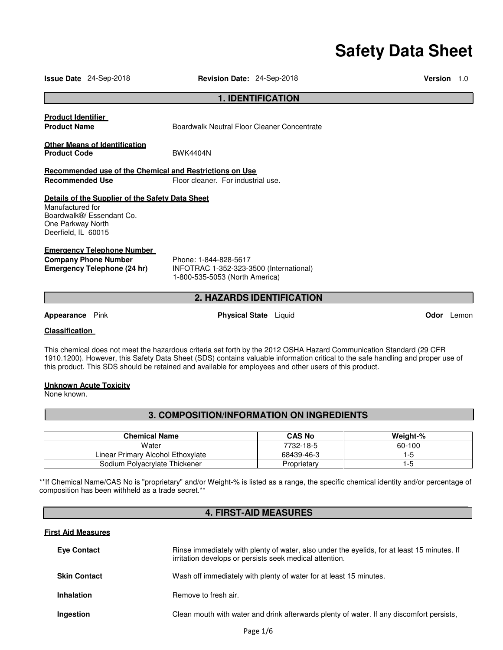# **Safety Data Sheet**

| <b>Issue Date</b> 24-Sep-2018                                                                                                                                                                                                                                                                                                                                    | <b>Revision Date: 24-Sep-2018</b>                                |                                  | <b>Version</b> | 1.0        |
|------------------------------------------------------------------------------------------------------------------------------------------------------------------------------------------------------------------------------------------------------------------------------------------------------------------------------------------------------------------|------------------------------------------------------------------|----------------------------------|----------------|------------|
|                                                                                                                                                                                                                                                                                                                                                                  |                                                                  | <b>1. IDENTIFICATION</b>         |                |            |
| <b>Product Identifier</b><br><b>Product Name</b>                                                                                                                                                                                                                                                                                                                 | Boardwalk Neutral Floor Cleaner Concentrate                      |                                  |                |            |
| <b>Other Means of Identification</b><br><b>Product Code</b>                                                                                                                                                                                                                                                                                                      | <b>BWK4404N</b>                                                  |                                  |                |            |
| Recommended use of the Chemical and Restrictions on Use                                                                                                                                                                                                                                                                                                          |                                                                  |                                  |                |            |
| <b>Recommended Use</b>                                                                                                                                                                                                                                                                                                                                           | Floor cleaner. For industrial use.                               |                                  |                |            |
| Details of the Supplier of the Safety Data Sheet<br>Manufactured for<br>Boardwalk®/ Essendant Co.<br>One Parkway North<br>Deerfield, IL 60015<br><b>Emergency Telephone Number</b><br><b>Company Phone Number</b><br>Emergency Telephone (24 hr)                                                                                                                 | Phone: 1-844-828-5617<br>INFOTRAC 1-352-323-3500 (International) |                                  |                |            |
|                                                                                                                                                                                                                                                                                                                                                                  | 1-800-535-5053 (North America)                                   |                                  |                |            |
|                                                                                                                                                                                                                                                                                                                                                                  |                                                                  | <b>2. HAZARDS IDENTIFICATION</b> |                |            |
| <b>Appearance</b> Pink                                                                                                                                                                                                                                                                                                                                           |                                                                  | <b>Physical State</b> Liquid     |                | Odor Lemon |
| <b>Classification</b>                                                                                                                                                                                                                                                                                                                                            |                                                                  |                                  |                |            |
| This chemical does not meet the hazardous criteria set forth by the 2012 OSHA Hazard Communication Standard (29 CFR<br>1910.1200). However, this Safety Data Sheet (SDS) contains valuable information critical to the safe handling and proper use of<br>this product. This SDS should be retained and available for employees and other users of this product. |                                                                  |                                  |                |            |
| <b>Unknown Acute Toxicity</b>                                                                                                                                                                                                                                                                                                                                    |                                                                  |                                  |                |            |

None known.

# **3. COMPOSITION/INFORMATION ON INGREDIENTS**

| <b>Chemical Name</b>              | <b>CAS No</b> | Weight-% |
|-----------------------------------|---------------|----------|
| Water                             | 7732-18-5     | 60-100   |
| Linear Primarv Alcohol Ethoxvlate | 68439-46-3    | I-5      |
| Sodium Polyacrylate Thickener     | Proprietary   | I -5     |

\*\*If Chemical Name/CAS No is "proprietary" and/or Weight-% is listed as a range, the specific chemical identity and/or percentage of composition has been withheld as a trade secret.\*\*

# **4. FIRST-AID MEASURES**

# **First Aid Measures**

| <b>Eve Contact</b>  | Rinse immediately with plenty of water, also under the eyelids, for at least 15 minutes. If<br>irritation develops or persists seek medical attention. |
|---------------------|--------------------------------------------------------------------------------------------------------------------------------------------------------|
| <b>Skin Contact</b> | Wash off immediately with plenty of water for at least 15 minutes.                                                                                     |
| <b>Inhalation</b>   | Remove to fresh air.                                                                                                                                   |
| Ingestion           | Clean mouth with water and drink afterwards plenty of water. If any discomfort persists,                                                               |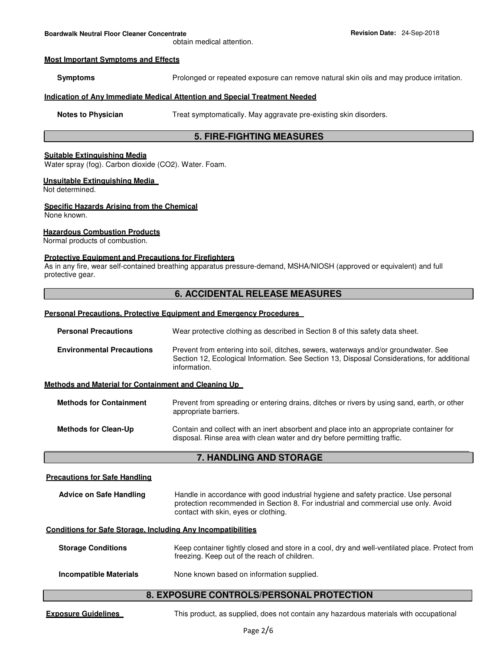obtain medical attention.

#### **Most Important Symptoms and Effects**

**Symptoms** Prolonged or repeated exposure can remove natural skin oils and may produce irritation.

# **Indication of Any Immediate Medical Attention and Special Treatment Needed**

**Notes to Physician Treat symptomatically. May aggravate pre-existing skin disorders.** 

# **5. FIRE-FIGHTING MEASURES**

#### **Suitable Extinguishing Media**

Water spray (fog). Carbon dioxide (CO2). Water. Foam.

# **Unsuitable Extinguishing Media**

Not determined.

#### **Specific Hazards Arising from the Chemical**

None known.

### **Hazardous Combustion Products**

Normal products of combustion.

### **Protective Equipment and Precautions for Firefighters**

As in any fire, wear self-contained breathing apparatus pressure-demand, MSHA/NIOSH (approved or equivalent) and full protective gear.

# **6. ACCIDENTAL RELEASE MEASURES**

# **Personal Precautions, Protective Equipment and Emergency Procedures**

| <b>Personal Precautions</b>                                         | Wear protective clothing as described in Section 8 of this safety data sheet.                                                                                                                                     |
|---------------------------------------------------------------------|-------------------------------------------------------------------------------------------------------------------------------------------------------------------------------------------------------------------|
| <b>Environmental Precautions</b>                                    | Prevent from entering into soil, ditches, sewers, waterways and/or groundwater. See<br>Section 12, Ecological Information. See Section 13, Disposal Considerations, for additional<br>information.                |
| Methods and Material for Containment and Cleaning Up                |                                                                                                                                                                                                                   |
| <b>Methods for Containment</b>                                      | Prevent from spreading or entering drains, ditches or rivers by using sand, earth, or other<br>appropriate barriers.                                                                                              |
| <b>Methods for Clean-Up</b>                                         | Contain and collect with an inert absorbent and place into an appropriate container for<br>disposal. Rinse area with clean water and dry before permitting traffic.                                               |
|                                                                     | <b>7. HANDLING AND STORAGE</b>                                                                                                                                                                                    |
|                                                                     |                                                                                                                                                                                                                   |
| <b>Precautions for Safe Handling</b>                                |                                                                                                                                                                                                                   |
| <b>Advice on Safe Handling</b>                                      | Handle in accordance with good industrial hygiene and safety practice. Use personal<br>protection recommended in Section 8. For industrial and commercial use only. Avoid<br>contact with skin, eyes or clothing. |
| <b>Conditions for Safe Storage, Including Any Incompatibilities</b> |                                                                                                                                                                                                                   |
| <b>Storage Conditions</b>                                           | Keep container tightly closed and store in a cool, dry and well-ventilated place. Protect from<br>freezing. Keep out of the reach of children.                                                                    |

# **8. EXPOSURE CONTROLS/PERSONAL PROTECTION**

**Exposure Guidelines This product, as supplied, does not contain any hazardous materials with occupational**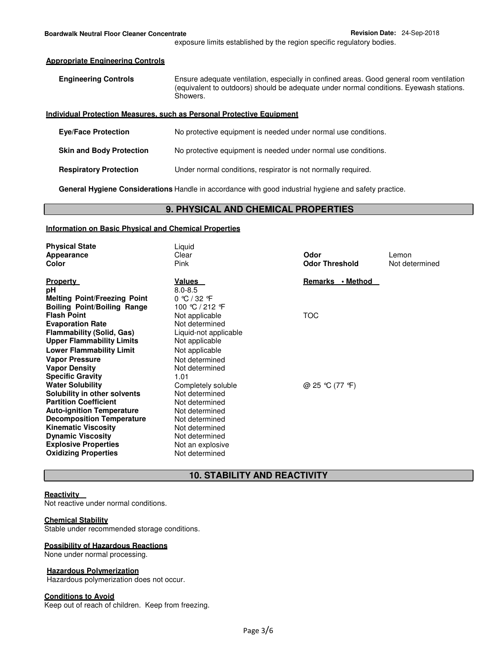exposure limits established by the region specific regulatory bodies.

#### **Appropriate Engineering Controls**

| <b>Engineering Controls</b> | Ensure adequate ventilation, especially in confined areas. Good general room ventilation |
|-----------------------------|------------------------------------------------------------------------------------------|
|                             | (equivalent to outdoors) should be adequate under normal conditions. Eyewash stations.   |
|                             | Showers.                                                                                 |

#### **Individual Protection Measures, such as Personal Protective Equipment**

| <b>Eve/Face Protection</b>      | No protective equipment is needed under normal use conditions. |
|---------------------------------|----------------------------------------------------------------|
| <b>Skin and Body Protection</b> | No protective equipment is needed under normal use conditions. |
| <b>Respiratory Protection</b>   | Under normal conditions, respirator is not normally required.  |

**General Hygiene Considerations** Handle in accordance with good industrial hygiene and safety practice.

# **9. PHYSICAL AND CHEMICAL PROPERTIES**

# **Information on Basic Physical and Chemical Properties**

| <b>Physical State</b><br>Appearance<br>Color                                                                                                             | Liquid<br>Clear<br>Pink                                                                  | Odor<br><b>Odor Threshold</b> | Lemon<br>Not determined |
|----------------------------------------------------------------------------------------------------------------------------------------------------------|------------------------------------------------------------------------------------------|-------------------------------|-------------------------|
| <b>Property</b>                                                                                                                                          | <u>Values</u>                                                                            | Remarks • Method              |                         |
| рH<br><b>Melting Point/Freezing Point</b><br><b>Boiling Point/Boiling Range</b>                                                                          | $8.0 - 8.5$<br>$0 \text{ °C} / 32 \text{ °F}$<br>100 ℃ / 212 F                           |                               |                         |
| <b>Flash Point</b><br><b>Evaporation Rate</b>                                                                                                            | Not applicable<br>Not determined                                                         | <b>TOC</b>                    |                         |
| <b>Flammability (Solid, Gas)</b><br><b>Upper Flammability Limits</b>                                                                                     | Liquid-not applicable<br>Not applicable                                                  |                               |                         |
| <b>Lower Flammability Limit</b><br><b>Vapor Pressure</b><br><b>Vapor Density</b>                                                                         | Not applicable<br>Not determined<br>Not determined                                       |                               |                         |
| <b>Specific Gravity</b><br><b>Water Solubility</b>                                                                                                       | 1.01<br>Completely soluble                                                               | @ 25 ℃ (77 °F)                |                         |
| Solubility in other solvents<br><b>Partition Coefficient</b><br><b>Auto-ignition Temperature</b>                                                         | Not determined<br>Not determined<br>Not determined                                       |                               |                         |
| <b>Decomposition Temperature</b><br><b>Kinematic Viscosity</b><br><b>Dynamic Viscosity</b><br><b>Explosive Properties</b><br><b>Oxidizing Properties</b> | Not determined<br>Not determined<br>Not determined<br>Not an explosive<br>Not determined |                               |                         |

# **10. STABILITY AND REACTIVITY**

#### **Reactivity**

Not reactive under normal conditions.

#### **Chemical Stability**

Stable under recommended storage conditions.

# **Possibility of Hazardous Reactions**

None under normal processing.

#### **Hazardous Polymerization**

Hazardous polymerization does not occur.

# **Conditions to Avoid**

Keep out of reach of children. Keep from freezing.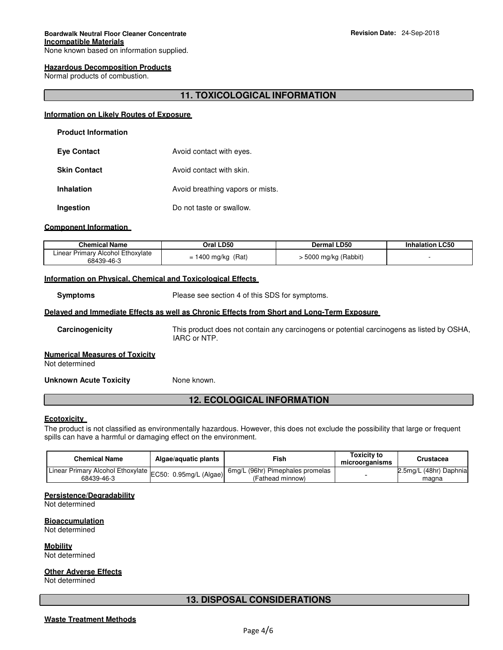# **Hazardous Decomposition Products**

Normal products of combustion.

# **11. TOXICOLOGICAL INFORMATION**

#### **Information on Likely Routes of Exposure**

| <b>Product Information</b> |                                  |
|----------------------------|----------------------------------|
| <b>Eye Contact</b>         | Avoid contact with eyes.         |
| <b>Skin Contact</b>        | Avoid contact with skin.         |
| <b>Inhalation</b>          | Avoid breathing vapors or mists. |
| Ingestion                  | Do not taste or swallow.         |

#### **Component Information**

| <b>Chemical Name</b>                            | Oral LD50            | <b>Dermal LD50</b>    | <b>Inhalation LC50</b> |
|-------------------------------------------------|----------------------|-----------------------|------------------------|
| Linear Primary Alcohol Ethoxylate<br>68439-46-3 | $= 1400$ mg/kg (Rat) | - 5000 mg/kg (Rabbit) |                        |

#### **Information on Physical, Chemical and Toxicological Effects**

**Symptoms** Please see section 4 of this SDS for symptoms.

#### **Delayed and Immediate Effects as well as Chronic Effects from Short and Long-Term Exposure**

**Carcinogenicity** This product does not contain any carcinogens or potential carcinogens as listed by OSHA, IARC or NTP.

#### **Numerical Measures of Toxicity**

Not determined

**Unknown Acute Toxicity Mone known.** 

# **12. ECOLOGICAL INFORMATION**

#### **Ecotoxicity**

The product is not classified as environmentally hazardous. However, this does not exclude the possibility that large or frequent spills can have a harmful or damaging effect on the environment.

| <b>Chemical Name</b>                                                            | Algae/aguatic plants | Fish                                                 | <b>Toxicity to</b><br>microorganisms | Crustacea                       |
|---------------------------------------------------------------------------------|----------------------|------------------------------------------------------|--------------------------------------|---------------------------------|
| Linear Primary Alcohol Ethoxylate EC50: 0.95mg/L (Algae)  Olitary<br>68439-46-3 |                      | 6mg/L (96hr) Pimephales promelas<br>(Fathead minnow) |                                      | 2.5mg/L (48hr) Daphnia<br>magna |

#### **Persistence/Degradability**

Not determined

**Bioaccumulation**

Not determined

**Mobility** Not determined

### **Other Adverse Effects**

Not determined

# **13. DISPOSAL CONSIDERATIONS**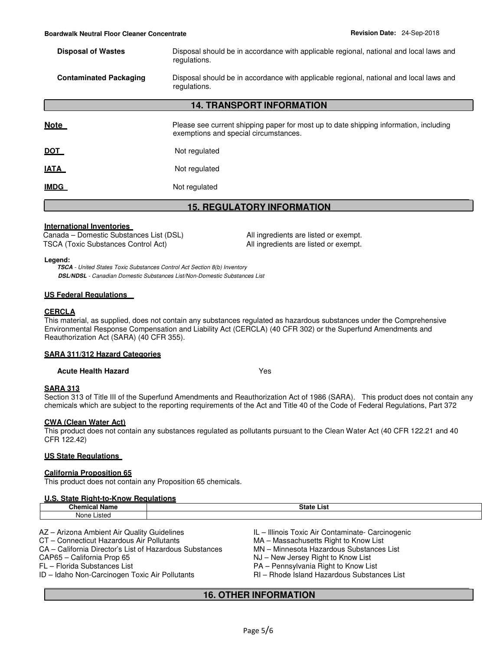**Disposal of Wastes** Disposal should be in accordance with applicable regional, national and local laws and regulations.

### **Contaminated Packaging** Disposal should be in accordance with applicable regional, national and local laws and regulations.

# **14. TRANSPORT INFORMATION**

| <u>Note</u> | Please see current shipping paper for most up to date shipping information, including<br>exemptions and special circumstances. |
|-------------|--------------------------------------------------------------------------------------------------------------------------------|
| <u>DOT</u>  | Not regulated                                                                                                                  |
| <u>IATA</u> | Not regulated                                                                                                                  |
| <u>IMDG</u> | Not regulated                                                                                                                  |

# **15. REGULATORY INFORMATION**

#### **International Inventories**

Canada – Domestic Substances List (DSL) All ingredients are listed or exempt. TSCA (Toxic Substances Control Act) All ingredients are listed or exempt.

#### **Legend:**

**TSCA** - United States Toxic Substances Control Act Section 8(b) Inventory **DSL/NDSL** - Canadian Domestic Substances List/Non-Domestic Substances List

#### **US Federal Regulations**

#### **CERCLA**

This material, as supplied, does not contain any substances regulated as hazardous substances under the Comprehensive Environmental Response Compensation and Liability Act (CERCLA) (40 CFR 302) or the Superfund Amendments and Reauthorization Act (SARA) (40 CFR 355).

#### **SARA 311/312 Hazard Categories**

#### **Acute Health Hazard** Yes

### **SARA 313**

Section 313 of Title III of the Superfund Amendments and Reauthorization Act of 1986 (SARA). This product does not contain any chemicals which are subject to the reporting requirements of the Act and Title 40 of the Code of Federal Regulations, Part 372

### **CWA (Clean Water Act)**

This product does not contain any substances regulated as pollutants pursuant to the Clean Water Act (40 CFR 122.21 and 40 CFR 122.42)

# **US State Regulations**

#### **California Proposition 65**

This product does not contain any Proposition 65 chemicals.

#### **U.S. State Right-to-Know Regulations**

| Chamic-<br>NI.<br>              | List<br><br>. . |
|---------------------------------|-----------------|
| ietoi<br><b>Non</b><br><br>יייי |                 |
|                                 |                 |

CA – California Director's List of Hazardous Substances MN – Minnesota Hazardous Substances List

- FL Florida Substances List<br>ID Idaho Non-Carcinogen Toxic Air Pollutants Manuel RI Rhode Island Hazardous Substances List ID – Idaho Non-Carcinogen Toxic Air Pollutants
- AZ Arizona Ambient Air Quality Guidelines IL Illinois Toxic Air Contaminate- Carcinogenic
- CT Connecticut Hazardous Air Pollutants MA Massachusetts Right to Know List
	-
- CAP65 California Prop 65 NJ New Jersey Right to Know List
	-
	-

# **16. OTHER INFORMATION**